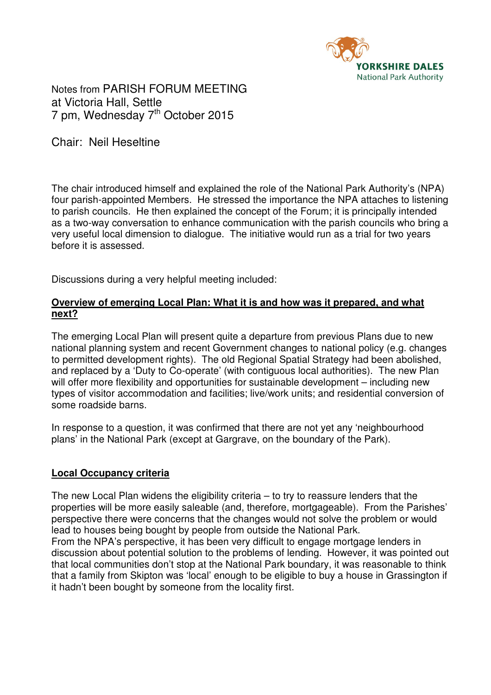

Notes from PARISH FORUM MEETING at Victoria Hall, Settle 7 pm, Wednesday 7<sup>th</sup> October 2015

Chair: Neil Heseltine

The chair introduced himself and explained the role of the National Park Authority's (NPA) four parish-appointed Members. He stressed the importance the NPA attaches to listening to parish councils. He then explained the concept of the Forum; it is principally intended as a two-way conversation to enhance communication with the parish councils who bring a very useful local dimension to dialogue. The initiative would run as a trial for two years before it is assessed.

Discussions during a very helpful meeting included:

## **Overview of emerging Local Plan: What it is and how was it prepared, and what next?**

The emerging Local Plan will present quite a departure from previous Plans due to new national planning system and recent Government changes to national policy (e.g. changes to permitted development rights). The old Regional Spatial Strategy had been abolished, and replaced by a 'Duty to Co-operate' (with contiguous local authorities). The new Plan will offer more flexibility and opportunities for sustainable development – including new types of visitor accommodation and facilities; live/work units; and residential conversion of some roadside barns.

In response to a question, it was confirmed that there are not yet any 'neighbourhood plans' in the National Park (except at Gargrave, on the boundary of the Park).

#### **Local Occupancy criteria**

The new Local Plan widens the eligibility criteria – to try to reassure lenders that the properties will be more easily saleable (and, therefore, mortgageable). From the Parishes' perspective there were concerns that the changes would not solve the problem or would lead to houses being bought by people from outside the National Park. From the NPA's perspective, it has been very difficult to engage mortgage lenders in

discussion about potential solution to the problems of lending. However, it was pointed out that local communities don't stop at the National Park boundary, it was reasonable to think that a family from Skipton was 'local' enough to be eligible to buy a house in Grassington if it hadn't been bought by someone from the locality first.